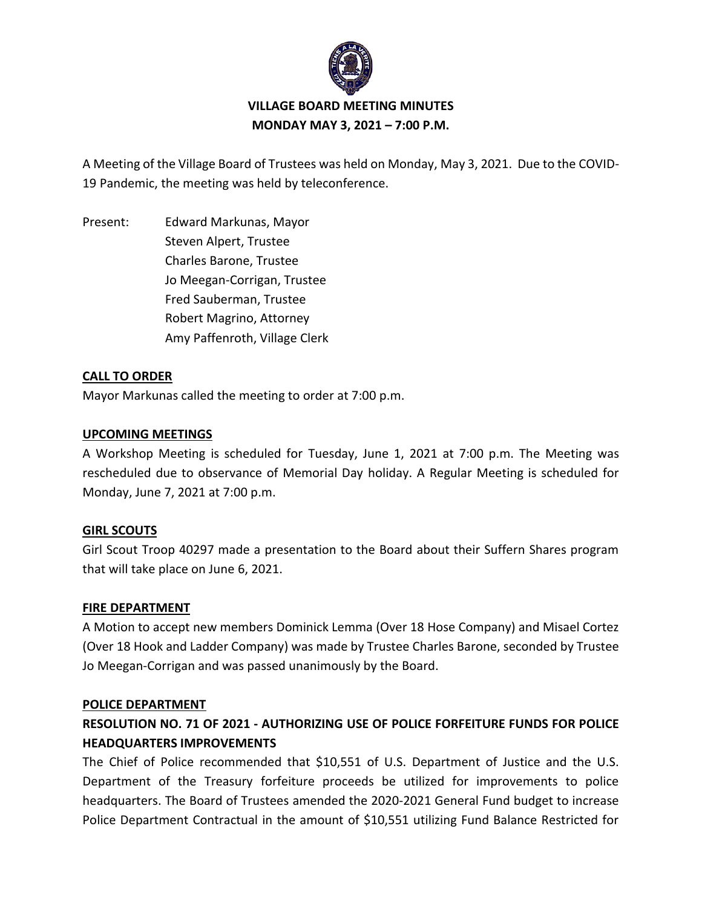

# **VILLAGE BOARD MEETING MINUTES MONDAY MAY 3, 2021 – 7:00 P.M.**

A Meeting of the Village Board of Trustees was held on Monday, May 3, 2021. Due to the COVID-19 Pandemic, the meeting was held by teleconference.

Present: Edward Markunas, Mayor Steven Alpert, Trustee Charles Barone, Trustee Jo Meegan-Corrigan, Trustee Fred Sauberman, Trustee Robert Magrino, Attorney Amy Paffenroth, Village Clerk

## **CALL TO ORDER**

Mayor Markunas called the meeting to order at 7:00 p.m.

## **UPCOMING MEETINGS**

A Workshop Meeting is scheduled for Tuesday, June 1, 2021 at 7:00 p.m. The Meeting was rescheduled due to observance of Memorial Day holiday. A Regular Meeting is scheduled for Monday, June 7, 2021 at 7:00 p.m.

## **GIRL SCOUTS**

Girl Scout Troop 40297 made a presentation to the Board about their Suffern Shares program that will take place on June 6, 2021.

### **FIRE DEPARTMENT**

A Motion to accept new members Dominick Lemma (Over 18 Hose Company) and Misael Cortez (Over 18 Hook and Ladder Company) was made by Trustee Charles Barone, seconded by Trustee Jo Meegan-Corrigan and was passed unanimously by the Board.

### **POLICE DEPARTMENT**

# **RESOLUTION NO. 71 OF 2021 - AUTHORIZING USE OF POLICE FORFEITURE FUNDS FOR POLICE HEADQUARTERS IMPROVEMENTS**

The Chief of Police recommended that \$10,551 of U.S. Department of Justice and the U.S. Department of the Treasury forfeiture proceeds be utilized for improvements to police headquarters. The Board of Trustees amended the 2020-2021 General Fund budget to increase Police Department Contractual in the amount of \$10,551 utilizing Fund Balance Restricted for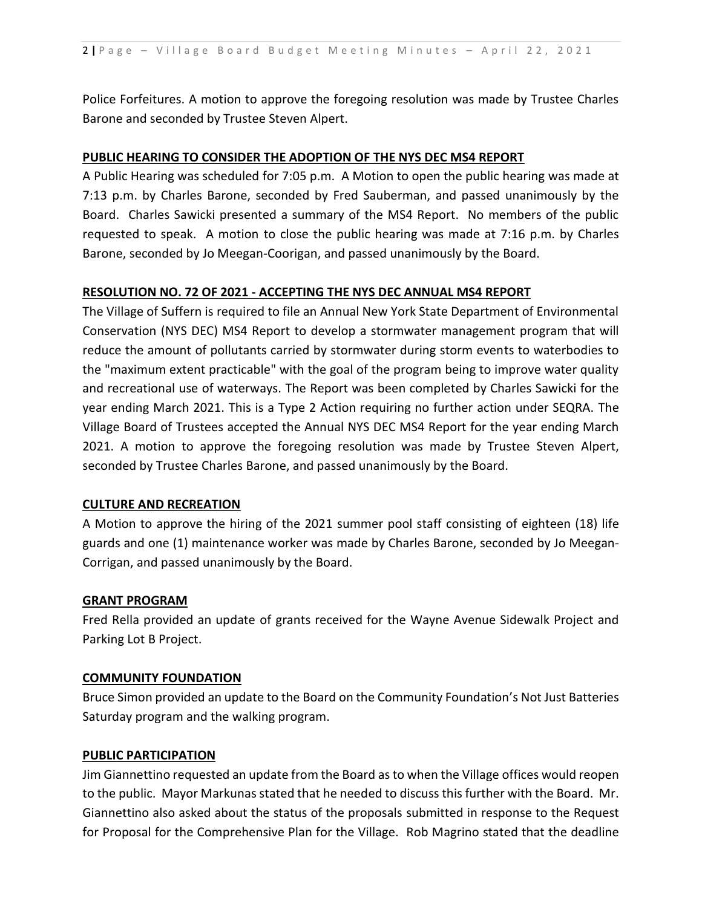Police Forfeitures. A motion to approve the foregoing resolution was made by Trustee Charles Barone and seconded by Trustee Steven Alpert.

### **PUBLIC HEARING TO CONSIDER THE ADOPTION OF THE NYS DEC MS4 REPORT**

A Public Hearing was scheduled for 7:05 p.m. A Motion to open the public hearing was made at 7:13 p.m. by Charles Barone, seconded by Fred Sauberman, and passed unanimously by the Board. Charles Sawicki presented a summary of the MS4 Report. No members of the public requested to speak. A motion to close the public hearing was made at 7:16 p.m. by Charles Barone, seconded by Jo Meegan-Coorigan, and passed unanimously by the Board.

## **RESOLUTION NO. 72 OF 2021 - ACCEPTING THE NYS DEC ANNUAL MS4 REPORT**

The Village of Suffern is required to file an Annual New York State Department of Environmental Conservation (NYS DEC) MS4 Report to develop a stormwater management program that will reduce the amount of pollutants carried by stormwater during storm events to waterbodies to the "maximum extent practicable" with the goal of the program being to improve water quality and recreational use of waterways. The Report was been completed by Charles Sawicki for the year ending March 2021. This is a Type 2 Action requiring no further action under SEQRA. The Village Board of Trustees accepted the Annual NYS DEC MS4 Report for the year ending March 2021. A motion to approve the foregoing resolution was made by Trustee Steven Alpert, seconded by Trustee Charles Barone, and passed unanimously by the Board.

### **CULTURE AND RECREATION**

A Motion to approve the hiring of the 2021 summer pool staff consisting of eighteen (18) life guards and one (1) maintenance worker was made by Charles Barone, seconded by Jo Meegan-Corrigan, and passed unanimously by the Board.

### **GRANT PROGRAM**

Fred Rella provided an update of grants received for the Wayne Avenue Sidewalk Project and Parking Lot B Project.

### **COMMUNITY FOUNDATION**

Bruce Simon provided an update to the Board on the Community Foundation's Not Just Batteries Saturday program and the walking program.

### **PUBLIC PARTICIPATION**

Jim Giannettino requested an update from the Board as to when the Village offices would reopen to the public. Mayor Markunas stated that he needed to discuss this further with the Board. Mr. Giannettino also asked about the status of the proposals submitted in response to the Request for Proposal for the Comprehensive Plan for the Village. Rob Magrino stated that the deadline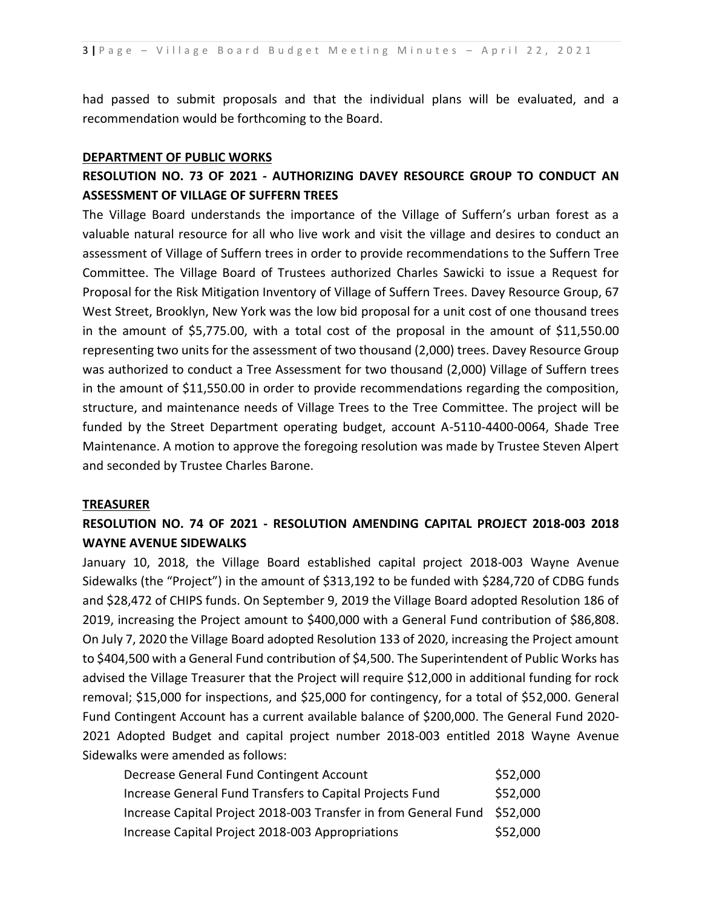had passed to submit proposals and that the individual plans will be evaluated, and a recommendation would be forthcoming to the Board.

#### **DEPARTMENT OF PUBLIC WORKS**

## **RESOLUTION NO. 73 OF 2021 - AUTHORIZING DAVEY RESOURCE GROUP TO CONDUCT AN ASSESSMENT OF VILLAGE OF SUFFERN TREES**

The Village Board understands the importance of the Village of Suffern's urban forest as a valuable natural resource for all who live work and visit the village and desires to conduct an assessment of Village of Suffern trees in order to provide recommendations to the Suffern Tree Committee. The Village Board of Trustees authorized Charles Sawicki to issue a Request for Proposal for the Risk Mitigation Inventory of Village of Suffern Trees. Davey Resource Group, 67 West Street, Brooklyn, New York was the low bid proposal for a unit cost of one thousand trees in the amount of \$5,775.00, with a total cost of the proposal in the amount of \$11,550.00 representing two units for the assessment of two thousand (2,000) trees. Davey Resource Group was authorized to conduct a Tree Assessment for two thousand (2,000) Village of Suffern trees in the amount of \$11,550.00 in order to provide recommendations regarding the composition, structure, and maintenance needs of Village Trees to the Tree Committee. The project will be funded by the Street Department operating budget, account A-5110-4400-0064, Shade Tree Maintenance. A motion to approve the foregoing resolution was made by Trustee Steven Alpert and seconded by Trustee Charles Barone.

#### **TREASURER**

## **RESOLUTION NO. 74 OF 2021 - RESOLUTION AMENDING CAPITAL PROJECT 2018-003 2018 WAYNE AVENUE SIDEWALKS**

January 10, 2018, the Village Board established capital project 2018-003 Wayne Avenue Sidewalks (the "Project") in the amount of \$313,192 to be funded with \$284,720 of CDBG funds and \$28,472 of CHIPS funds. On September 9, 2019 the Village Board adopted Resolution 186 of 2019, increasing the Project amount to \$400,000 with a General Fund contribution of \$86,808. On July 7, 2020 the Village Board adopted Resolution 133 of 2020, increasing the Project amount to \$404,500 with a General Fund contribution of \$4,500. The Superintendent of Public Works has advised the Village Treasurer that the Project will require \$12,000 in additional funding for rock removal; \$15,000 for inspections, and \$25,000 for contingency, for a total of \$52,000. General Fund Contingent Account has a current available balance of \$200,000. The General Fund 2020- 2021 Adopted Budget and capital project number 2018-003 entitled 2018 Wayne Avenue Sidewalks were amended as follows:

| Decrease General Fund Contingent Account                                 | \$52,000 |
|--------------------------------------------------------------------------|----------|
| Increase General Fund Transfers to Capital Projects Fund                 | \$52,000 |
| Increase Capital Project 2018-003 Transfer in from General Fund \$52,000 |          |
| Increase Capital Project 2018-003 Appropriations                         | \$52,000 |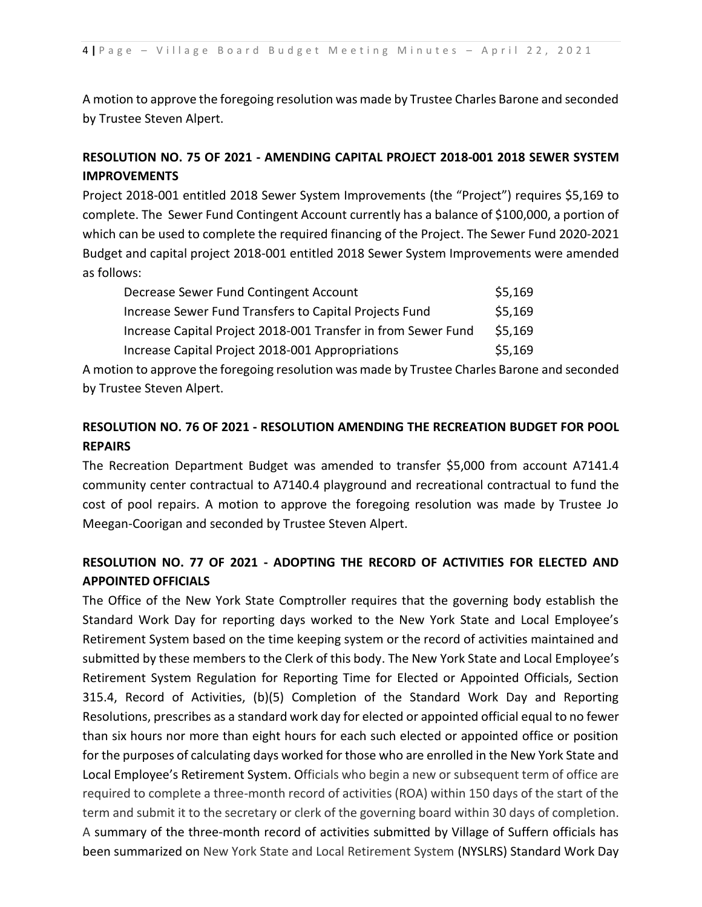A motion to approve the foregoing resolution was made by Trustee Charles Barone and seconded by Trustee Steven Alpert.

## **RESOLUTION NO. 75 OF 2021 - AMENDING CAPITAL PROJECT 2018-001 2018 SEWER SYSTEM IMPROVEMENTS**

Project 2018-001 entitled 2018 Sewer System Improvements (the "Project") requires \$5,169 to complete. The Sewer Fund Contingent Account currently has a balance of \$100,000, a portion of which can be used to complete the required financing of the Project. The Sewer Fund 2020-2021 Budget and capital project 2018-001 entitled 2018 Sewer System Improvements were amended as follows:

| Decrease Sewer Fund Contingent Account                        | \$5,169 |
|---------------------------------------------------------------|---------|
| Increase Sewer Fund Transfers to Capital Projects Fund        | \$5,169 |
| Increase Capital Project 2018-001 Transfer in from Sewer Fund | \$5,169 |
| Increase Capital Project 2018-001 Appropriations              | \$5,169 |

A motion to approve the foregoing resolution was made by Trustee Charles Barone and seconded by Trustee Steven Alpert.

## **RESOLUTION NO. 76 OF 2021 - RESOLUTION AMENDING THE RECREATION BUDGET FOR POOL REPAIRS**

The Recreation Department Budget was amended to transfer \$5,000 from account A7141.4 community center contractual to A7140.4 playground and recreational contractual to fund the cost of pool repairs. A motion to approve the foregoing resolution was made by Trustee Jo Meegan-Coorigan and seconded by Trustee Steven Alpert.

# **RESOLUTION NO. 77 OF 2021 - ADOPTING THE RECORD OF ACTIVITIES FOR ELECTED AND APPOINTED OFFICIALS**

The Office of the New York State Comptroller requires that the governing body establish the Standard Work Day for reporting days worked to the New York State and Local Employee's Retirement System based on the time keeping system or the record of activities maintained and submitted by these members to the Clerk of this body. The New York State and Local Employee's Retirement System Regulation for Reporting Time for Elected or Appointed Officials, Section 315.4, Record of Activities, (b)(5) Completion of the Standard Work Day and Reporting Resolutions, prescribes as a standard work day for elected or appointed official equal to no fewer than six hours nor more than eight hours for each such elected or appointed office or position for the purposes of calculating days worked for those who are enrolled in the New York State and Local Employee's Retirement System. Officials who begin a new or subsequent term of office are required to complete a three-month record of activities (ROA) within 150 days of the start of the term and submit it to the secretary or clerk of the governing board within 30 days of completion. A summary of the three-month record of activities submitted by Village of Suffern officials has been summarized on New York State and Local Retirement System (NYSLRS) Standard Work Day